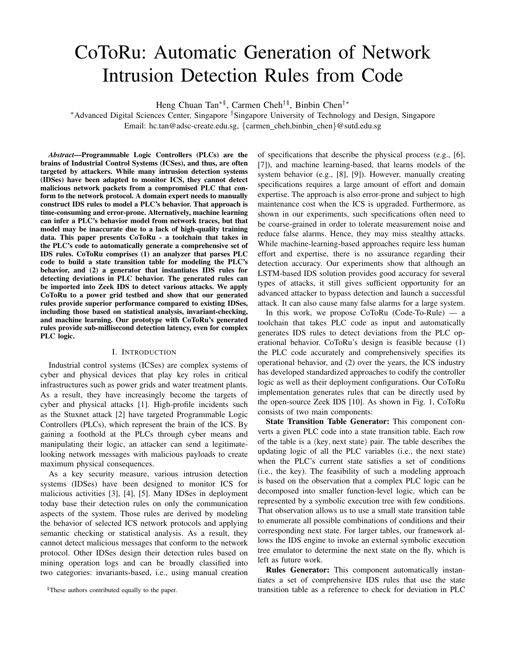# CoToRu: Automatic Generation of Network Intrusion Detection Rules from Code

Heng Chuan Tan<sup>∗§</sup>, Carmen Cheh<sup>†§</sup>, Binbin Chen<sup>†</sup>\*

<sup>∗</sup>Advanced Digital Sciences Center, Singapore †Singapore University of Technology and Design, Singapore Email: hc.tan@adsc-create.edu.sg, {carmen\_cheh,binbin\_chen}@sutd.edu.sg

*Abstract*—Programmable Logic Controllers (PLCs) are the brains of Industrial Control Systems (ICSes), and thus, are often targeted by attackers. While many intrusion detection systems (IDSes) have been adapted to monitor ICS, they cannot detect malicious network packets from a compromised PLC that conform to the network protocol. A domain expert needs to manually construct IDS rules to model a PLC's behavior. That approach is time-consuming and error-prone. Alternatively, machine learning can infer a PLC's behavior model from network traces, but that model may be inaccurate due to a lack of high-quality training data. This paper presents CoToRu - a toolchain that takes in the PLC's code to automatically generate a comprehensive set of IDS rules. CoToRu comprises (1) an analyzer that parses PLC code to build a state transition table for modeling the PLC's behavior, and (2) a generator that instantiates IDS rules for detecting deviations in PLC behavior. The generated rules can be imported into Zeek IDS to detect various attacks. We apply CoToRu to a power grid testbed and show that our generated rules provide superior performance compared to existing IDSes, including those based on statistical analysis, invariant-checking, and machine learning. Our prototype with CoToRu's generated rules provide sub-millisecond detection latency, even for complex PLC logic.

# I. INTRODUCTION

Industrial control systems (ICSes) are complex systems of cyber and physical devices that play key roles in critical infrastructures such as power grids and water treatment plants. As a result, they have increasingly become the targets of cyber and physical attacks [1]. High-profile incidents such as the Stuxnet attack [2] have targeted Programmable Logic Controllers (PLCs), which represent the brain of the ICS. By gaining a foothold at the PLCs through cyber means and manipulating their logic, an attacker can send a legitimatelooking network messages with malicious payloads to create maximum physical consequences.

As a key security measure, various intrusion detection systems (IDSes) have been designed to monitor ICS for malicious activities [3], [4], [5]. Many IDSes in deployment today base their detection rules on only the communication aspects of the system. Those rules are derived by modeling the behavior of selected ICS network protocols and applying semantic checking or statistical analysis. As a result, they cannot detect malicious messages that conform to the network protocol. Other IDSes design their detection rules based on mining operation logs and can be broadly classified into two categories: invariants-based, i.e., using manual creation of specifications that describe the physical process (e.g., [6], [7]), and machine learning-based, that learns models of the system behavior (e.g., [8], [9]). However, manually creating specifications requires a large amount of effort and domain expertise. The approach is also error-prone and subject to high maintenance cost when the ICS is upgraded. Furthermore, as shown in our experiments, such specifications often need to be coarse-grained in order to tolerate measurement noise and reduce false alarms. Hence, they may miss stealthy attacks. While machine-learning-based approaches require less human effort and expertise, there is no assurance regarding their detection accuracy. Our experiments show that although an LSTM-based IDS solution provides good accuracy for several types of attacks, it still gives sufficient opportunity for an advanced attacker to bypass detection and launch a successful attack. It can also cause many false alarms for a large system.

In this work, we propose  $CoToRu$  (Code-To-Rule) — a toolchain that takes PLC code as input and automatically generates IDS rules to detect deviations from the PLC operational behavior. CoToRu's design is feasible because (1) the PLC code accurately and comprehensively specifies its operational behavior, and (2) over the years, the ICS industry has developed standardized approaches to codify the controller logic as well as their deployment configurations. Our CoToRu implementation generates rules that can be directly used by the open-source Zeek IDS [10]. As shown in Fig. 1, CoToRu consists of two main components:

State Transition Table Generator: This component converts a given PLC code into a state transition table. Each row of the table is a (key, next state) pair. The table describes the updating logic of all the PLC variables (i.e., the next state) when the PLC's current state satisfies a set of conditions (i.e., the key). The feasibility of such a modeling approach is based on the observation that a complex PLC logic can be decomposed into smaller function-level logic, which can be represented by a symbolic execution tree with few conditions. That observation allows us to use a small state transition table to enumerate all possible combinations of conditions and their corresponding next state. For larger tables, our framework allows the IDS engine to invoke an external symbolic execution tree emulator to determine the next state on the fly, which is left as future work.

Rules Generator: This component automatically instantiates a set of comprehensive IDS rules that use the state transition table as a reference to check for deviation in PLC

<sup>§</sup>These authors contributed equally to the paper.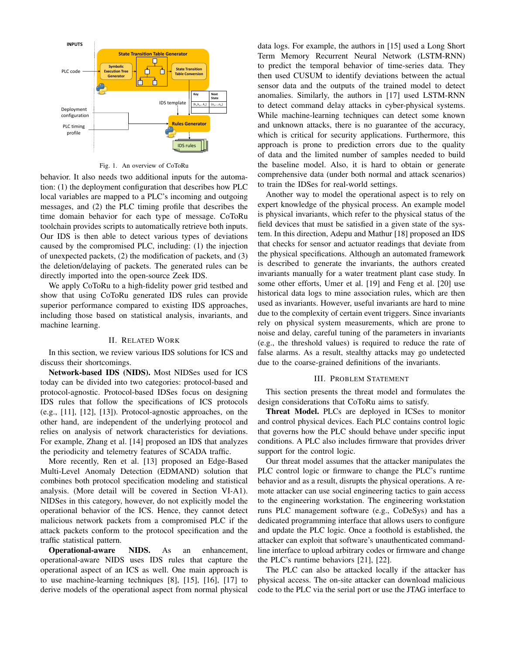

Fig. 1. An overview of CoToRu

behavior. It also needs two additional inputs for the automation: (1) the deployment configuration that describes how PLC local variables are mapped to a PLC's incoming and outgoing messages, and (2) the PLC timing profile that describes the time domain behavior for each type of message. CoToRu toolchain provides scripts to automatically retrieve both inputs. Our IDS is then able to detect various types of deviations caused by the compromised PLC, including: (1) the injection of unexpected packets, (2) the modification of packets, and (3) the deletion/delaying of packets. The generated rules can be directly imported into the open-source Zeek IDS.

We apply CoToRu to a high-fidelity power grid testbed and show that using CoToRu generated IDS rules can provide superior performance compared to existing IDS approaches, including those based on statistical analysis, invariants, and machine learning.

# II. RELATED WORK

In this section, we review various IDS solutions for ICS and discuss their shortcomings.

Network-based IDS (NIDS). Most NIDSes used for ICS today can be divided into two categories: protocol-based and protocol-agnostic. Protocol-based IDSes focus on designing IDS rules that follow the specifications of ICS protocols (e.g., [11], [12], [13]). Protocol-agnostic approaches, on the other hand, are independent of the underlying protocol and relies on analysis of network characteristics for deviations. For example, Zhang et al. [14] proposed an IDS that analyzes the periodicity and telemetry features of SCADA traffic.

More recently, Ren et al. [13] proposed an Edge-Based Multi-Level Anomaly Detection (EDMAND) solution that combines both protocol specification modeling and statistical analysis. (More detail will be covered in Section VI-A1). NIDSes in this category, however, do not explicitly model the operational behavior of the ICS. Hence, they cannot detect malicious network packets from a compromised PLC if the attack packets conform to the protocol specification and the traffic statistical pattern.

Operational-aware NIDS. As an enhancement, operational-aware NIDS uses IDS rules that capture the operational aspect of an ICS as well. One main approach is to use machine-learning techniques [8], [15], [16], [17] to derive models of the operational aspect from normal physical data logs. For example, the authors in [15] used a Long Short Term Memory Recurrent Neural Network (LSTM-RNN) to predict the temporal behavior of time-series data. They then used CUSUM to identify deviations between the actual sensor data and the outputs of the trained model to detect anomalies. Similarly, the authors in [17] used LSTM-RNN to detect command delay attacks in cyber-physical systems. While machine-learning techniques can detect some known and unknown attacks, there is no guarantee of the accuracy, which is critical for security applications. Furthermore, this approach is prone to prediction errors due to the quality of data and the limited number of samples needed to build the baseline model. Also, it is hard to obtain or generate comprehensive data (under both normal and attack scenarios) to train the IDSes for real-world settings.

Another way to model the operational aspect is to rely on expert knowledge of the physical process. An example model is physical invariants, which refer to the physical status of the field devices that must be satisfied in a given state of the system. In this direction, Adepu and Mathur [18] proposed an IDS that checks for sensor and actuator readings that deviate from the physical specifications. Although an automated framework is described to generate the invariants, the authors created invariants manually for a water treatment plant case study. In some other efforts, Umer et al. [19] and Feng et al. [20] use historical data logs to mine association rules, which are then used as invariants. However, useful invariants are hard to mine due to the complexity of certain event triggers. Since invariants rely on physical system measurements, which are prone to noise and delay, careful tuning of the parameters in invariants (e.g., the threshold values) is required to reduce the rate of false alarms. As a result, stealthy attacks may go undetected due to the coarse-grained definitions of the invariants.

#### III. PROBLEM STATEMENT

This section presents the threat model and formulates the design considerations that CoToRu aims to satisfy.

Threat Model. PLCs are deployed in ICSes to monitor and control physical devices. Each PLC contains control logic that governs how the PLC should behave under specific input conditions. A PLC also includes firmware that provides driver support for the control logic.

Our threat model assumes that the attacker manipulates the PLC control logic or firmware to change the PLC's runtime behavior and as a result, disrupts the physical operations. A remote attacker can use social engineering tactics to gain access to the engineering workstation. The engineering workstation runs PLC management software (e.g., CoDeSys) and has a dedicated programming interface that allows users to configure and update the PLC logic. Once a foothold is established, the attacker can exploit that software's unauthenticated commandline interface to upload arbitrary codes or firmware and change the PLC's runtime behaviors [21], [22].

The PLC can also be attacked locally if the attacker has physical access. The on-site attacker can download malicious code to the PLC via the serial port or use the JTAG interface to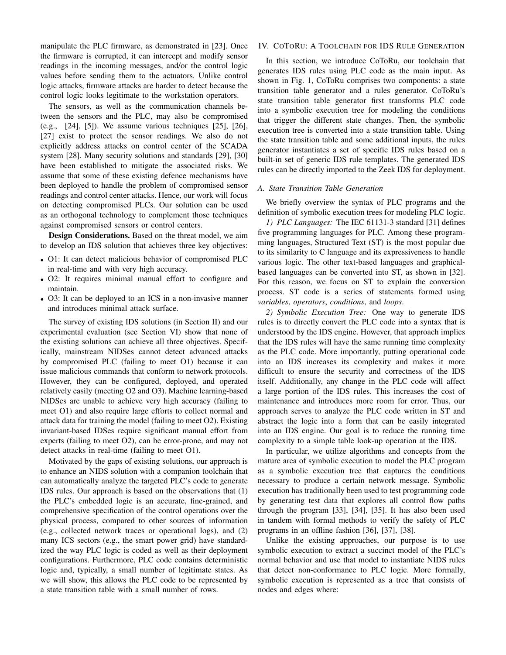manipulate the PLC firmware, as demonstrated in [23]. Once the firmware is corrupted, it can intercept and modify sensor readings in the incoming messages, and/or the control logic values before sending them to the actuators. Unlike control logic attacks, firmware attacks are harder to detect because the control logic looks legitimate to the workstation operators.

The sensors, as well as the communication channels between the sensors and the PLC, may also be compromised (e.g., [24], [5]). We assume various techniques [25], [26], [27] exist to protect the sensor readings. We also do not explicitly address attacks on control center of the SCADA system [28]. Many security solutions and standards [29], [30] have been established to mitigate the associated risks. We assume that some of these existing defence mechanisms have been deployed to handle the problem of compromised sensor readings and control center attacks. Hence, our work will focus on detecting compromised PLCs. Our solution can be used as an orthogonal technology to complement those techniques against compromised sensors or control centers.

Design Considerations. Based on the threat model, we aim to develop an IDS solution that achieves three key objectives:

- O1: It can detect malicious behavior of compromised PLC in real-time and with very high accuracy.
- O2: It requires minimal manual effort to configure and maintain.
- O3: It can be deployed to an ICS in a non-invasive manner and introduces minimal attack surface.

The survey of existing IDS solutions (in Section II) and our experimental evaluation (see Section VI) show that none of the existing solutions can achieve all three objectives. Specifically, mainstream NIDSes cannot detect advanced attacks by compromised PLC (failing to meet O1) because it can issue malicious commands that conform to network protocols. However, they can be configured, deployed, and operated relatively easily (meeting O2 and O3). Machine learning-based NIDSes are unable to achieve very high accuracy (failing to meet O1) and also require large efforts to collect normal and attack data for training the model (failing to meet O2). Existing invariant-based IDSes require significant manual effort from experts (failing to meet O2), can be error-prone, and may not detect attacks in real-time (failing to meet O1).

Motivated by the gaps of existing solutions, our approach is to enhance an NIDS solution with a companion toolchain that can automatically analyze the targeted PLC's code to generate IDS rules. Our approach is based on the observations that (1) the PLC's embedded logic is an accurate, fine-grained, and comprehensive specification of the control operations over the physical process, compared to other sources of information (e.g., collected network traces or operational logs), and (2) many ICS sectors (e.g., the smart power grid) have standardized the way PLC logic is coded as well as their deployment configurations. Furthermore, PLC code contains deterministic logic and, typically, a small number of legitimate states. As we will show, this allows the PLC code to be represented by a state transition table with a small number of rows.

# IV. COTORU: A TOOLCHAIN FOR IDS RULE GENERATION

In this section, we introduce CoToRu, our toolchain that generates IDS rules using PLC code as the main input. As shown in Fig. 1, CoToRu comprises two components: a state transition table generator and a rules generator. CoToRu's state transition table generator first transforms PLC code into a symbolic execution tree for modeling the conditions that trigger the different state changes. Then, the symbolic execution tree is converted into a state transition table. Using the state transition table and some additional inputs, the rules generator instantiates a set of specific IDS rules based on a built-in set of generic IDS rule templates. The generated IDS rules can be directly imported to the Zeek IDS for deployment.

## *A. State Transition Table Generation*

We briefly overview the syntax of PLC programs and the definition of symbolic execution trees for modeling PLC logic.

*1) PLC Languages:* The IEC 61131-3 standard [31] defines five programming languages for PLC. Among these programming languages, Structured Text (ST) is the most popular due to its similarity to C language and its expressiveness to handle various logic. The other text-based languages and graphicalbased languages can be converted into ST, as shown in [32]. For this reason, we focus on ST to explain the conversion process. ST code is a series of statements formed using *variables*, *operators*, *conditions*, and *loops*.

*2) Symbolic Execution Tree:* One way to generate IDS rules is to directly convert the PLC code into a syntax that is understood by the IDS engine. However, that approach implies that the IDS rules will have the same running time complexity as the PLC code. More importantly, putting operational code into an IDS increases its complexity and makes it more difficult to ensure the security and correctness of the IDS itself. Additionally, any change in the PLC code will affect a large portion of the IDS rules. This increases the cost of maintenance and introduces more room for error. Thus, our approach serves to analyze the PLC code written in ST and abstract the logic into a form that can be easily integrated into an IDS engine. Our goal is to reduce the running time complexity to a simple table look-up operation at the IDS.

In particular, we utilize algorithms and concepts from the mature area of symbolic execution to model the PLC program as a symbolic execution tree that captures the conditions necessary to produce a certain network message. Symbolic execution has traditionally been used to test programming code by generating test data that explores all control flow paths through the program [33], [34], [35]. It has also been used in tandem with formal methods to verify the safety of PLC programs in an offline fashion [36], [37], [38].

Unlike the existing approaches, our purpose is to use symbolic execution to extract a succinct model of the PLC's normal behavior and use that model to instantiate NIDS rules that detect non-conformance to PLC logic. More formally, symbolic execution is represented as a tree that consists of nodes and edges where: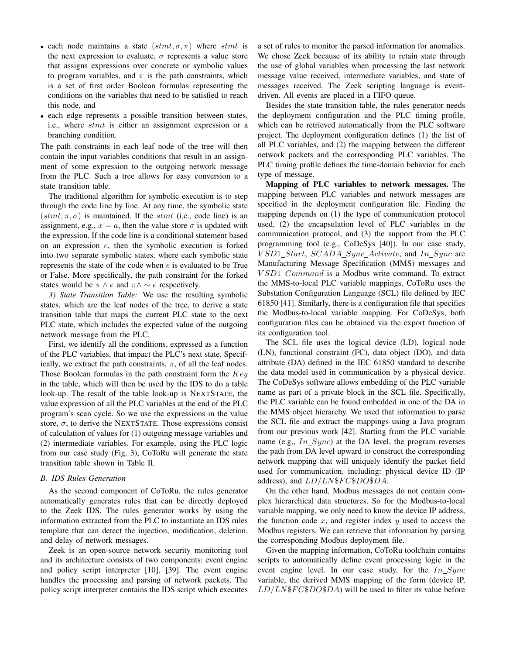- each node maintains a state  $(stmt, \sigma, \pi)$  where stmt is the next expression to evaluate,  $\sigma$  represents a value store that assigns expressions over concrete or symbolic values to program variables, and  $\pi$  is the path constraints, which is a set of first order Boolean formulas representing the conditions on the variables that need to be satisfied to reach this node, and
- each edge represents a possible transition between states, i.e., where stmt is either an assignment expression or a branching condition.

The path constraints in each leaf node of the tree will then contain the input variables conditions that result in an assignment of some expression to the outgoing network message from the PLC. Such a tree allows for easy conversion to a state transition table.

The traditional algorithm for symbolic execution is to step through the code line by line. At any time, the symbolic state  $(stmt, \pi, \sigma)$  is maintained. If the stmt (i.e., code line) is an assignment, e.g.,  $x = a$ , then the value store  $\sigma$  is updated with the expression. If the code line is a conditional statement based on an expression e, then the symbolic execution is forked into two separate symbolic states, where each symbolic state represents the state of the code when e is evaluated to be True or False. More specifically, the path constraint for the forked states would be  $\pi \wedge e$  and  $\pi \wedge \sim e$  respectively.

*3) State Transition Table:* We use the resulting symbolic states, which are the leaf nodes of the tree, to derive a state transition table that maps the current PLC state to the next PLC state, which includes the expected value of the outgoing network message from the PLC.

First, we identify all the conditions, expressed as a function of the PLC variables, that impact the PLC's next state. Specifically, we extract the path constraints,  $\pi$ , of all the leaf nodes. Those Boolean formulas in the path constraint form the  $Key$ in the table, which will then be used by the IDS to do a table look-up. The result of the table look-up is NEXTSTATE, the value expression of all the PLC variables at the end of the PLC program's scan cycle. So we use the expressions in the value store,  $\sigma$ , to derive the NEXTSTATE. Those expressions consist of calculation of values for (1) outgoing message variables and (2) intermediate variables. For example, using the PLC logic from our case study (Fig. 3), CoToRu will generate the state transition table shown in Table II.

# *B. IDS Rules Generation*

As the second component of CoToRu, the rules generator automatically generates rules that can be directly deployed to the Zeek IDS. The rules generator works by using the information extracted from the PLC to instantiate an IDS rules template that can detect the injection, modification, deletion, and delay of network messages.

Zeek is an open-source network security monitoring tool and its architecture consists of two components: event engine and policy script interpreter [10], [39]. The event engine handles the processing and parsing of network packets. The policy script interpreter contains the IDS script which executes a set of rules to monitor the parsed information for anomalies. We chose Zeek because of its ability to retain state through the use of global variables when processing the last network message value received, intermediate variables, and state of messages received. The Zeek scripting language is eventdriven. All events are placed in a FIFO queue.

Besides the state transition table, the rules generator needs the deployment configuration and the PLC timing profile, which can be retrieved automatically from the PLC software project. The deployment configuration defines (1) the list of all PLC variables, and (2) the mapping between the different network packets and the corresponding PLC variables. The PLC timing profile defines the time-domain behavior for each type of message.

Mapping of PLC variables to network messages. The mapping between PLC variables and network messages are specified in the deployment configuration file. Finding the mapping depends on (1) the type of communication protocol used, (2) the encapsulation level of PLC variables in the communication protocol, and (3) the support from the PLC programming tool (e.g., CoDeSys [40]). In our case study, VSD1\_Start, SCADA\_Sync\_Activate, and In\_Sync are Manufacturing Message Specification (MMS) messages and V SD1 Command is a Modbus write command. To extract the MMS-to-local PLC variable mappings, CoToRu uses the Substation Configuration Language (SCL) file defined by IEC 61850 [41]. Similarly, there is a configuration file that specifies the Modbus-to-local variable mapping. For CoDeSys, both configuration files can be obtained via the export function of its configuration tool.

The SCL file uses the logical device (LD), logical node (LN), functional constraint (FC), data object (DO), and data attribute (DA) defined in the IEC 61850 standard to describe the data model used in communication by a physical device. The CoDeSys software allows embedding of the PLC variable name as part of a private block in the SCL file. Specifically, the PLC variable can be found embedded in one of the DA in the MMS object hierarchy. We used that information to parse the SCL file and extract the mappings using a Java program from our previous work [42]. Starting from the PLC variable name (e.g.,  $In\_Sync$ ) at the DA level, the program reverses the path from DA level upward to construct the corresponding network mapping that will uniquely identify the packet field used for communication, including: physical device ID (IP address), and  $LD/LN$F C$DOSDA$ .

On the other hand, Modbus messages do not contain complex hierarchical data structures. So for the Modbus-to-local variable mapping, we only need to know the device IP address, the function code  $x$ , and register index  $y$  used to access the Modbus registers. We can retrieve that information by parsing the corresponding Modbus deployment file.

Given the mapping information, CoToRu toolchain contains scripts to automatically define event processing logic in the event engine level. In our case study, for the  $In\_Sync$ variable, the derived MMS mapping of the form (device IP,  $LD/LN$F C$DOSDA$ ) will be used to filter its value before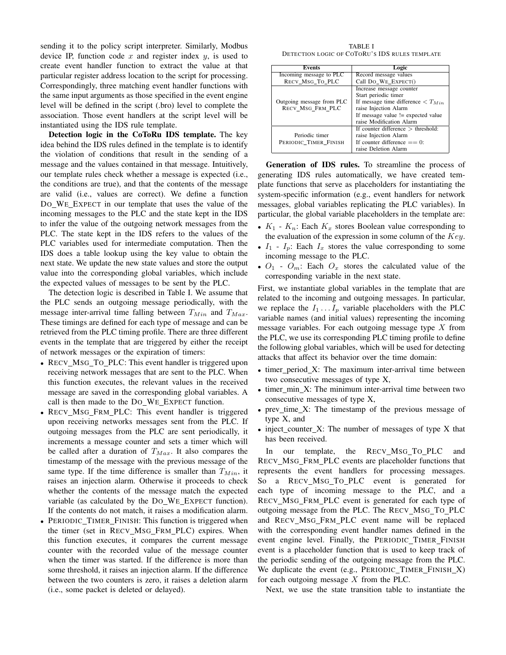sending it to the policy script interpreter. Similarly, Modbus device IP, function code  $x$  and register index  $y$ , is used to create event handler function to extract the value at that particular register address location to the script for processing. Correspondingly, three matching event handler functions with the same input arguments as those specified in the event engine level will be defined in the script (.bro) level to complete the association. Those event handlers at the script level will be instantiated using the IDS rule template.

Detection logic in the CoToRu IDS template. The key idea behind the IDS rules defined in the template is to identify the violation of conditions that result in the sending of a message and the values contained in that message. Intuitively, our template rules check whether a message is expected (i.e., the conditions are true), and that the contents of the message are valid (i.e., values are correct). We define a function DO WE EXPECT in our template that uses the value of the incoming messages to the PLC and the state kept in the IDS to infer the value of the outgoing network messages from the PLC. The state kept in the IDS refers to the values of the PLC variables used for intermediate computation. Then the IDS does a table lookup using the key value to obtain the next state. We update the new state values and store the output value into the corresponding global variables, which include the expected values of messages to be sent by the PLC.

The detection logic is described in Table I. We assume that the PLC sends an outgoing message periodically, with the message inter-arrival time falling between  $T_{Min}$  and  $T_{Max}$ . These timings are defined for each type of message and can be retrieved from the PLC timing profile. There are three different events in the template that are triggered by either the receipt of network messages or the expiration of timers:

- RECV\_MSG\_TO\_PLC: This event handler is triggered upon receiving network messages that are sent to the PLC. When this function executes, the relevant values in the received message are saved in the corresponding global variables. A call is then made to the DO WE EXPECT function.
- RECV\_MSG\_FRM\_PLC: This event handler is triggered upon receiving networks messages sent from the PLC. If outgoing messages from the PLC are sent periodically, it increments a message counter and sets a timer which will be called after a duration of  $T_{Max}$ . It also compares the timestamp of the message with the previous message of the same type. If the time difference is smaller than  $T_{Min}$ , it raises an injection alarm. Otherwise it proceeds to check whether the contents of the message match the expected variable (as calculated by the DO\_WE\_EXPECT function). If the contents do not match, it raises a modification alarm.
- PERIODIC\_TIMER\_FINISH: This function is triggered when the timer (set in RECV MSG FRM PLC) expires. When this function executes, it compares the current message counter with the recorded value of the message counter when the timer was started. If the difference is more than some threshold, it raises an injection alarm. If the difference between the two counters is zero, it raises a deletion alarm (i.e., some packet is deleted or delayed).

TABLE I DETECTION LOGIC OF COTORU'S IDS RULES TEMPLATE

| Events                    | Logic                                                |
|---------------------------|------------------------------------------------------|
| Incoming message to PLC   | Record message values                                |
| RECV_MSG_TO_PLC           | Call DO_WE_EXPECT()                                  |
|                           | Increase message counter                             |
|                           | Start periodic timer                                 |
| Outgoing message from PLC | If message time difference $\langle T_{Min} \rangle$ |
| RECV MSG FRM PLC          | raise Injection Alarm                                |
|                           | If message value != expected value                   |
|                           | raise Modification Alarm                             |
|                           | If counter difference $>$ threshold:                 |
| Periodic timer            | raise Injection Alarm                                |
| PERIODIC TIMER FINISH     | If counter difference $== 0$ :                       |
|                           | raise Deletion Alarm                                 |

Generation of IDS rules. To streamline the process of generating IDS rules automatically, we have created template functions that serve as placeholders for instantiating the system-specific information (e.g., event handlers for network messages, global variables replicating the PLC variables). In particular, the global variable placeholders in the template are:

- $K_1$   $K_n$ : Each  $K_x$  stores Boolean value corresponding to the evaluation of the expression in some column of the  $Key$ .
- $I_1$   $I_n$ : Each  $I_x$  stores the value corresponding to some incoming message to the PLC.
- $O_1$   $O_m$ : Each  $O_x$  stores the calculated value of the corresponding variable in the next state.

First, we instantiate global variables in the template that are related to the incoming and outgoing messages. In particular, we replace the  $I_1 \ldots I_p$  variable placeholders with the PLC variable names (and initial values) representing the incoming message variables. For each outgoing message type  $X$  from the PLC, we use its corresponding PLC timing profile to define the following global variables, which will be used for detecting attacks that affect its behavior over the time domain:

- timer\_period\_X: The maximum inter-arrival time between two consecutive messages of type X,
- timer\_min\_X: The minimum inter-arrival time between two consecutive messages of type X,
- prev\_time\_X: The timestamp of the previous message of type X, and
- inject\_counter\_X: The number of messages of type X that has been received.

In our template, the RECV\_MSG\_TO\_PLC and RECV MSG FRM PLC events are placeholder functions that represents the event handlers for processing messages. So a RECV\_MSG\_TO\_PLC event is generated for each type of incoming message to the PLC, and a RECV\_MSG\_FRM\_PLC event is generated for each type of outgoing message from the PLC. The RECV MSG TO PLC and RECV\_MSG\_FRM\_PLC event name will be replaced with the corresponding event handler names defined in the event engine level. Finally, the PERIODIC\_TIMER\_FINISH event is a placeholder function that is used to keep track of the periodic sending of the outgoing message from the PLC. We duplicate the event (e.g., PERIODIC TIMER FINISH X) for each outgoing message X from the PLC.

Next, we use the state transition table to instantiate the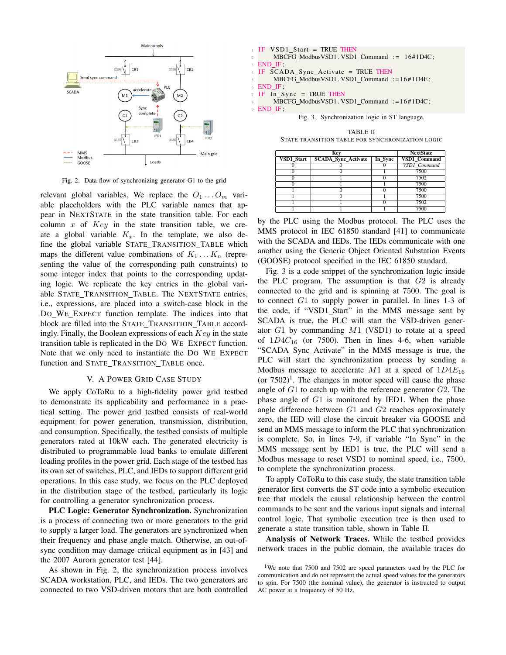

Fig. 2. Data flow of synchronizing generator G1 to the grid

relevant global variables. We replace the  $O_1 \dots O_m$  variable placeholders with the PLC variable names that appear in NEXTSTATE in the state transition table. For each column  $x$  of  $Key$  in the state transition table, we create a global variable  $K_x$ . In the template, we also define the global variable STATE\_TRANSITION\_TABLE which maps the different value combinations of  $K_1 \ldots K_n$  (representing the value of the corresponding path constraints) to some integer index that points to the corresponding updating logic. We replicate the key entries in the global variable STATE\_TRANSITION\_TABLE. The NEXTSTATE entries, i.e., expressions, are placed into a switch-case block in the DO WE EXPECT function template. The indices into that block are filled into the STATE\_TRANSITION\_TABLE accordingly. Finally, the Boolean expressions of each  $Key$  in the state transition table is replicated in the DO WE EXPECT function. Note that we only need to instantiate the DO WE EXPECT function and STATE\_TRANSITION\_TABLE once.

#### V. A POWER GRID CASE STUDY

We apply CoToRu to a high-fidelity power grid testbed to demonstrate its applicability and performance in a practical setting. The power grid testbed consists of real-world equipment for power generation, transmission, distribution, and consumption. Specifically, the testbed consists of multiple generators rated at 10kW each. The generated electricity is distributed to programmable load banks to emulate different loading profiles in the power grid. Each stage of the testbed has its own set of switches, PLC, and IEDs to support different grid operations. In this case study, we focus on the PLC deployed in the distribution stage of the testbed, particularly its logic for controlling a generator synchronization process.

PLC Logic: Generator Synchronization. Synchronization is a process of connecting two or more generators to the grid to supply a larger load. The generators are synchronized when their frequency and phase angle match. Otherwise, an out-ofsync condition may damage critical equipment as in [43] and the 2007 Aurora generator test [44].

As shown in Fig. 2, the synchronization process involves SCADA workstation, PLC, and IEDs. The two generators are connected to two VSD-driven motors that are both controlled

IF VSD1\_Start = TRUE THEN 2 MBCFG\_ModbusVSD1.VSD1\_Command := 16#1D4C; 3 **END\_IF** IF SCADA\_Sync\_Activate = TRUE THEN MBCFG\_ModbusVSD1. VSD1\_Command := 16#1D4E; END IF  $IF$  In Sync = TRUE THEN MBCFG\_ModbusVSD1. VSD1\_Command := 16#1D4C; <sup>9</sup> END IF ; Fig. 3. Synchronization logic in ST language.

TABLE II STATE TRANSITION TABLE FOR SYNCHRONIZATION LOGIC

|            | <b>NextState</b>           |         |                     |  |
|------------|----------------------------|---------|---------------------|--|
| VSD1 Start | <b>SCADA Sync Activate</b> | In Sync | <b>VSD1 Command</b> |  |
|            |                            |         | VSD1 Command        |  |
|            |                            |         | 7500                |  |
|            |                            |         | 7502                |  |
|            |                            |         | 7500                |  |
|            |                            |         | 7500                |  |
|            |                            |         | 7500                |  |
|            |                            |         | 7502                |  |
|            |                            |         | 7500                |  |

by the PLC using the Modbus protocol. The PLC uses the MMS protocol in IEC 61850 standard [41] to communicate with the SCADA and IEDs. The IEDs communicate with one another using the Generic Object Oriented Substation Events (GOOSE) protocol specified in the IEC 61850 standard.

Fig. 3 is a code snippet of the synchronization logic inside the PLC program. The assumption is that  $G2$  is already connected to the grid and is spinning at 7500. The goal is to connect G1 to supply power in parallel. In lines 1-3 of the code, if "VSD1\_Start" in the MMS message sent by SCADA is true, the PLC will start the VSD-driven generator G1 by commanding M1 (VSD1) to rotate at a speed of  $1D4C_{16}$  (or 7500). Then in lines 4-6, when variable "SCADA\_Sync\_Activate" in the MMS message is true, the PLC will start the synchronization process by sending a Modbus message to accelerate M1 at a speed of  $1D4E_{16}$ (or  $7502$ )<sup>1</sup>. The changes in motor speed will cause the phase angle of  $G1$  to catch up with the reference generator  $G2$ . The phase angle of G1 is monitored by IED1. When the phase angle difference between G1 and G2 reaches approximately zero, the IED will close the circuit breaker via GOOSE and send an MMS message to inform the PLC that synchronization is complete. So, in lines 7-9, if variable "In Sync" in the MMS message sent by IED1 is true, the PLC will send a Modbus message to reset VSD1 to nominal speed, i.e., 7500, to complete the synchronization process.

To apply CoToRu to this case study, the state transition table generator first converts the ST code into a symbolic execution tree that models the causal relationship between the control commands to be sent and the various input signals and internal control logic. That symbolic execution tree is then used to generate a state transition table, shown in Table II.

Analysis of Network Traces. While the testbed provides network traces in the public domain, the available traces do

<sup>&</sup>lt;sup>1</sup>We note that 7500 and 7502 are speed parameters used by the PLC for communication and do not represent the actual speed values for the generators to spin. For 7500 (the nominal value), the generator is instructed to output AC power at a frequency of 50 Hz.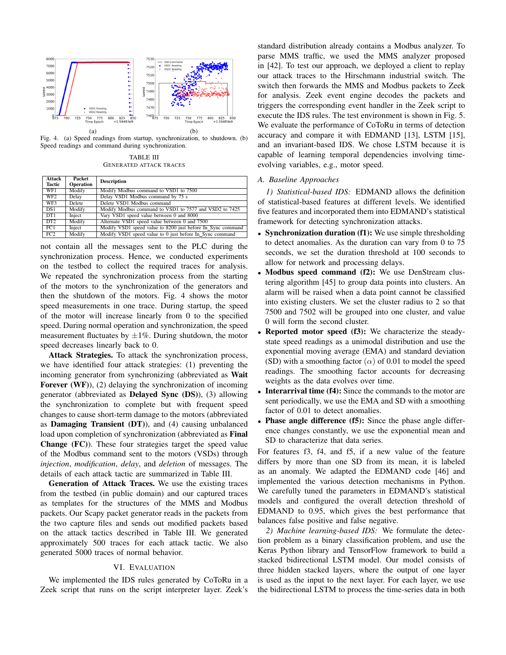

Fig. 4. (a) Speed readings from startup, synchronization, to shutdown. (b) Speed readings and command during synchronization.

TABLE III GENERATED ATTACK TRACES

| <b>Attack</b>   | Packet    | <b>Description</b>                                          |
|-----------------|-----------|-------------------------------------------------------------|
| <b>Tactic</b>   | Operation |                                                             |
| WF1             | Modify    | Modify Modbus command to VSD1 to 7500                       |
| WF <sub>2</sub> | Delay     | Delay VSD1 Modbus command by 75 s                           |
| WF3             | Delete    | Delete VSD1 Modbus command                                  |
| DS1             | Modify    | Modify Modbus command to VSD1 to 7577 and VSD2 to 7425      |
| DT <sub>1</sub> | Inject    | Vary VSD1 speed value between 0 and 8000                    |
| DT <sub>2</sub> | Modify    | Alternate VSD1 speed value between 0 and 7500               |
| FC1             | Inject    | Modify VSD1 speed value to 8200 just before In Sync command |
| FC2             | Modify    | Modify VSD1 speed value to 0 just before In_Sync command    |

not contain all the messages sent to the PLC during the synchronization process. Hence, we conducted experiments on the testbed to collect the required traces for analysis. We repeated the synchronization process from the starting of the motors to the synchronization of the generators and then the shutdown of the motors. Fig. 4 shows the motor speed measurements in one trace. During startup, the speed of the motor will increase linearly from 0 to the specified speed. During normal operation and synchronization, the speed measurement fluctuates by  $\pm 1\%$ . During shutdown, the motor speed decreases linearly back to 0.

Attack Strategies. To attack the synchronization process, we have identified four attack strategies: (1) preventing the incoming generator from synchronizing (abbreviated as Wait Forever (WF)), (2) delaying the synchronization of incoming generator (abbreviated as Delayed Sync (DS)), (3) allowing the synchronization to complete but with frequent speed changes to cause short-term damage to the motors (abbreviated as Damaging Transient (DT)), and (4) causing unbalanced load upon completion of synchronization (abbreviated as Final Change (FC)). These four strategies target the speed value of the Modbus command sent to the motors (VSDs) through *injection*, *modification*, *delay*, and *deletion* of messages. The details of each attack tactic are summarized in Table III.

Generation of Attack Traces. We use the existing traces from the testbed (in public domain) and our captured traces as templates for the structures of the MMS and Modbus packets. Our Scapy packet generator reads in the packets from the two capture files and sends out modified packets based on the attack tactics described in Table III. We generated approximately 500 traces for each attack tactic. We also generated 5000 traces of normal behavior.

# VI. EVALUATION

We implemented the IDS rules generated by CoToRu in a Zeek script that runs on the script interpreter layer. Zeek's standard distribution already contains a Modbus analyzer. To parse MMS traffic, we used the MMS analyzer proposed in [42]. To test our approach, we deployed a client to replay our attack traces to the Hirschmann industrial switch. The switch then forwards the MMS and Modbus packets to Zeek for analysis. Zeek event engine decodes the packets and triggers the corresponding event handler in the Zeek script to execute the IDS rules. The test environment is shown in Fig. 5. We evaluate the performance of CoToRu in terms of detection accuracy and compare it with EDMAND [13], LSTM [15], and an invariant-based IDS. We chose LSTM because it is capable of learning temporal dependencies involving timeevolving variables, e.g., motor speed.

# *A. Baseline Approaches*

*1) Statistical-based IDS:* EDMAND allows the definition of statistical-based features at different levels. We identified five features and incorporated them into EDMAND's statistical framework for detecting synchronization attacks.

- Synchronization duration (f1): We use simple thresholding to detect anomalies. As the duration can vary from 0 to 75 seconds, we set the duration threshold at 100 seconds to allow for network and processing delays.
- Modbus speed command (f2): We use DenStream clustering algorithm [45] to group data points into clusters. An alarm will be raised when a data point cannot be classified into existing clusters. We set the cluster radius to 2 so that 7500 and 7502 will be grouped into one cluster, and value 0 will form the second cluster.
- Reported motor speed (f3): We characterize the steadystate speed readings as a unimodal distribution and use the exponential moving average (EMA) and standard deviation (SD) with a smoothing factor  $(\alpha)$  of 0.01 to model the speed readings. The smoothing factor accounts for decreasing weights as the data evolves over time.
- Interarrival time (f4): Since the commands to the motor are sent periodically, we use the EMA and SD with a smoothing factor of 0.01 to detect anomalies.
- Phase angle difference (f5): Since the phase angle difference changes constantly, we use the exponential mean and SD to characterize that data series.

For features f3, f4, and f5, if a new value of the feature differs by more than one SD from its mean, it is labeled as an anomaly. We adapted the EDMAND code [46] and implemented the various detection mechanisms in Python. We carefully tuned the parameters in EDMAND's statistical models and configured the overall detection threshold of EDMAND to 0.95, which gives the best performance that balances false positive and false negative.

*2) Machine learning-based IDS:* We formulate the detection problem as a binary classification problem, and use the Keras Python library and TensorFlow framework to build a stacked bidirectional LSTM model. Our model consists of three hidden stacked layers, where the output of one layer is used as the input to the next layer. For each layer, we use the bidirectional LSTM to process the time-series data in both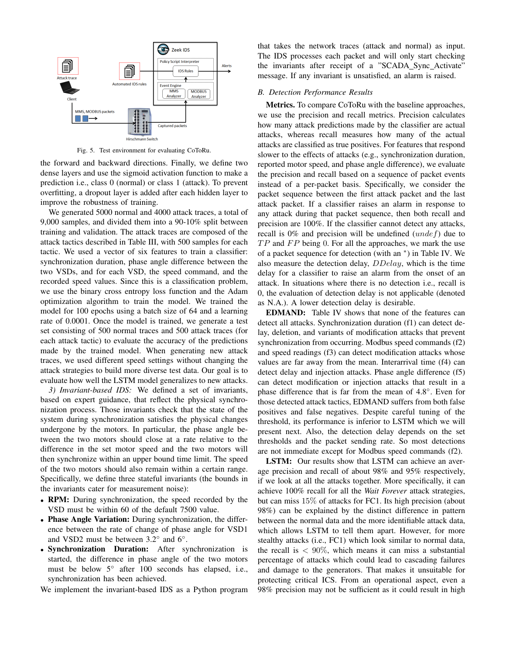

Fig. 5. Test environment for evaluating CoToRu.

the forward and backward directions. Finally, we define two dense layers and use the sigmoid activation function to make a prediction i.e., class 0 (normal) or class 1 (attack). To prevent overfitting, a dropout layer is added after each hidden layer to improve the robustness of training.

We generated 5000 normal and 4000 attack traces, a total of 9,000 samples, and divided them into a 90-10% split between training and validation. The attack traces are composed of the attack tactics described in Table III, with 500 samples for each tactic. We used a vector of six features to train a classifier: synchronization duration, phase angle difference between the two VSDs, and for each VSD, the speed command, and the recorded speed values. Since this is a classification problem, we use the binary cross entropy loss function and the Adam optimization algorithm to train the model. We trained the model for 100 epochs using a batch size of 64 and a learning rate of 0.0001. Once the model is trained, we generate a test set consisting of 500 normal traces and 500 attack traces (for each attack tactic) to evaluate the accuracy of the predictions made by the trained model. When generating new attack traces, we used different speed settings without changing the attack strategies to build more diverse test data. Our goal is to evaluate how well the LSTM model generalizes to new attacks.

*3) Invariant-based IDS:* We defined a set of invariants, based on expert guidance, that reflect the physical synchronization process. Those invariants check that the state of the system during synchronization satisfies the physical changes undergone by the motors. In particular, the phase angle between the two motors should close at a rate relative to the difference in the set motor speed and the two motors will then synchronize within an upper bound time limit. The speed of the two motors should also remain within a certain range. Specifically, we define three stateful invariants (the bounds in the invariants cater for measurement noise):

- RPM: During synchronization, the speed recorded by the VSD must be within 60 of the default 7500 value.
- Phase Angle Variation: During synchronization, the difference between the rate of change of phase angle for VSD1 and VSD2 must be between  $3.2^\circ$  and  $6^\circ$ .
- Synchronization Duration: After synchronization is started, the difference in phase angle of the two motors must be below 5° after 100 seconds has elapsed, i.e., synchronization has been achieved.

We implement the invariant-based IDS as a Python program

that takes the network traces (attack and normal) as input. The IDS processes each packet and will only start checking the invariants after receipt of a "SCADA Sync Activate" message. If any invariant is unsatisfied, an alarm is raised.

# *B. Detection Performance Results*

Metrics. To compare CoToRu with the baseline approaches, we use the precision and recall metrics. Precision calculates how many attack predictions made by the classifier are actual attacks, whereas recall measures how many of the actual attacks are classified as true positives. For features that respond slower to the effects of attacks (e.g., synchronization duration, reported motor speed, and phase angle difference), we evaluate the precision and recall based on a sequence of packet events instead of a per-packet basis. Specifically, we consider the packet sequence between the first attack packet and the last attack packet. If a classifier raises an alarm in response to any attack during that packet sequence, then both recall and precision are 100%. If the classifier cannot detect any attacks, recall is  $0\%$  and precision will be undefined (*undef*) due to  $TP$  and  $FP$  being 0. For all the approaches, we mark the use of a packet sequence for detection (with an <sup>∗</sup> ) in Table IV. We also measure the detection delay, DDelay, which is the time delay for a classifier to raise an alarm from the onset of an attack. In situations where there is no detection i.e., recall is 0, the evaluation of detection delay is not applicable (denoted as N.A.). A lower detection delay is desirable.

EDMAND: Table IV shows that none of the features can detect all attacks. Synchronization duration (f1) can detect delay, deletion, and variants of modification attacks that prevent synchronization from occurring. Modbus speed commands (f2) and speed readings (f3) can detect modification attacks whose values are far away from the mean. Interarrival time (f4) can detect delay and injection attacks. Phase angle difference (f5) can detect modification or injection attacks that result in a phase difference that is far from the mean of 4.8°. Even for those detected attack tactics, EDMAND suffers from both false positives and false negatives. Despite careful tuning of the threshold, its performance is inferior to LSTM which we will present next. Also, the detection delay depends on the set thresholds and the packet sending rate. So most detections are not immediate except for Modbus speed commands (f2).

LSTM: Our results show that LSTM can achieve an average precision and recall of about 98% and 95% respectively, if we look at all the attacks together. More specifically, it can achieve 100% recall for all the *Wait Forever* attack strategies, but can miss 15% of attacks for FC1. Its high precision (about 98%) can be explained by the distinct difference in pattern between the normal data and the more identifiable attack data, which allows LSTM to tell them apart. However, for more stealthy attacks (i.e., FC1) which look similar to normal data, the recall is  $< 90\%$ , which means it can miss a substantial percentage of attacks which could lead to cascading failures and damage to the generators. That makes it unsuitable for protecting critical ICS. From an operational aspect, even a 98% precision may not be sufficient as it could result in high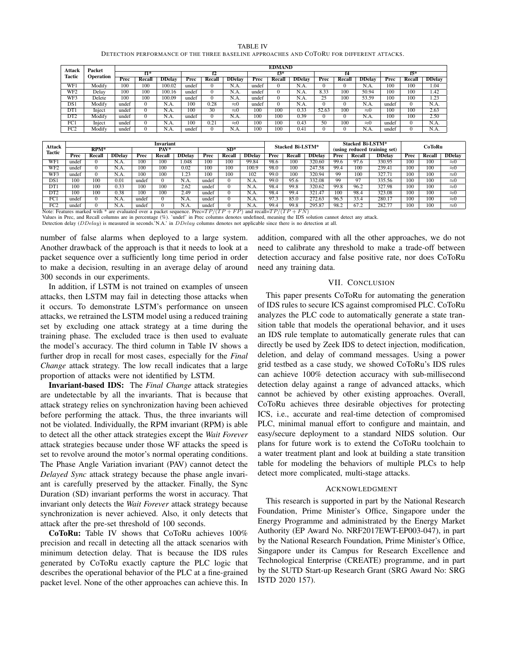| <b>TABLE IV</b>                                                                          |  |
|------------------------------------------------------------------------------------------|--|
| DETECTION PERFORMANCE OF THE THREE BASELINE APPROACHES AND COTORU FOR DIFFERENT ATTACKS. |  |

| Attack          | Packet<br>Operation |       | <b>EDMAND</b> |               |       |        |               |       |        |               |       |        |               |       |          |                   |  |
|-----------------|---------------------|-------|---------------|---------------|-------|--------|---------------|-------|--------|---------------|-------|--------|---------------|-------|----------|-------------------|--|
| <b>Tactic</b>   |                     | $f1*$ |               |               | f2    |        |               | f3*   |        |               |       | f4     |               | $f5*$ |          |                   |  |
|                 |                     | Prec  | Recall        | <b>DDelay</b> | Prec  | Recall | <b>DDelay</b> | Prec  | Recall | <b>DDelay</b> | Prec  | Recall | <b>DDelay</b> | Prec  | Recall   | <b>DDelay</b>     |  |
| WF1             | Modify              | 100   | 100           | 100.02        | undef |        | N.A.          | undef | 0      | N.A.          |       |        | N.A.          | 100   | 100      | 1.04              |  |
| WF <sub>2</sub> | Delay               | 100   | 100           | 100.16        | undef |        | N.A.          | undef |        | N.A.          | 8.33  | 100    | 50.94         | 100   | 100      | 1.42              |  |
| WF3             | Delete              | 100   | 100           | 100.09        | undef |        | N.A.          | undef | 0      | N.A.          | 25    | 100    | 53.59         | 100   | 100      | $\overline{1.23}$ |  |
| DS 1            | Modify              | undef | $\mathbf{0}$  | N.A.          | 100   | 0.28   | $\approx 0$   | undef |        | N.A.          |       |        | N.A.          | undef | $\Omega$ | N.A.              |  |
| DT1             | Inject              | undef | $\mathbf{0}$  | N.A.          | 100   | 30     | $\approx 0$   | 100   | 100    | 0.33          | 52.63 | 100    | $\approx 0$   | 100   | 100      | 2.63              |  |
| DT <sub>2</sub> | Modify              | undef | $\mathbf{0}$  | N.A.          | undef |        | N.A.          | 100   | 100    | 0.39          |       |        | N.A.          | 100   | 100      | 2.50              |  |
| FC1             | Inject              | undef | $\mathbf{0}$  | N.A.          | 100   | 0.21   | $\approx 0$   | 100   | 100    | 0.43          | 50    | 100    | $\approx 0$   | undef | $\Omega$ | N.A.              |  |
| FC <sub>2</sub> | Modify              | undef | 0             | N.A.          | undef |        | N.A.          | 100   | 100    | 0.41          |       |        | N.A.          | undef |          | N.A.              |  |

| <b>Attack</b>              | Invariant |          |                                                              |       |               |               |       |        |               |                                 | Stacked Bi-LSTM*           |        |                              | Stacked Bi-LSTM* |               |      | CoToRu |               |  |
|----------------------------|-----------|----------|--------------------------------------------------------------|-------|---------------|---------------|-------|--------|---------------|---------------------------------|----------------------------|--------|------------------------------|------------------|---------------|------|--------|---------------|--|
| <b>Tactic</b>              | $RPM*$    |          |                                                              | PAV*  |               |               | $SD*$ |        |               |                                 |                            |        | (using reduced training set) |                  |               |      |        |               |  |
|                            | Prec      | Recall   | <b>DDelay</b>                                                | Prec  | <b>Recall</b> | <b>DDelay</b> | Prec  | Recall | <b>DDelay</b> | <b>DDelay</b><br>Prec<br>Recall |                            |        | Prec                         | Recall           | <b>DDelay</b> | Prec | Recall | <b>DDelay</b> |  |
| WF1                        | undef     |          | N.A.                                                         | 100   | 100           | 1.048         | 100   | 100    | 99.84         | 98.6                            | 100                        | 320.60 | 99.6                         | 97.6             | 330.95        | 100  | 100    | $\approx 0$   |  |
| WF2                        | undef     | $\Omega$ | N.A.                                                         | 100   | 100           | 0.02          | 100   | 100    | 100.9         | 98.0                            | 100                        | 247.58 | 99.4                         | 100              | 239.41        | 100  | 100    | $\approx 0$   |  |
| WF3                        | undef     | $\Omega$ | N.A.                                                         | 100   | 100           | 1.23          | 100   | 100    | 102           | 99.0                            | 100                        | 320.94 | 99                           | 100              | 327.71        | 100  | 100    | $\approx 0$   |  |
| DS 1                       | 100       | 100      | 0.01                                                         | undef |               | N.A.          | undef |        | N.A.          | 99.0                            | 95.6                       | 332.08 | 99                           | 97               | 335.56        | 100  | 100    | $\approx 0$   |  |
| DT1                        | 100       | 100      | 0.33                                                         | 100   | 100           | 2.62          | undef |        | N.A.          | 98.4                            | 99.8                       | 320.62 | 99.8                         | 96.2             | 327.98        | 100  | 100    | $\approx 0$   |  |
| DT <sub>2</sub>            | 100       | 100      | 0.38                                                         | 100   | 100           | 2.49          | undef |        | N.A.          | 98.4                            | 99.4                       | 321.47 | 100                          | 98.4             | 323.08        | 100  | 100    | $\approx 0$   |  |
| FC1                        | undef     |          | N.A.                                                         | undef |               | N.A.          | undef |        | N.A.          | 97.3                            | 85.0                       | 272.63 | 96.5                         | 33.4             | 280.17        | 100  | 100    | $\approx 0$   |  |
| FC2                        | undef     |          | N.A.                                                         | undef |               | N.A.          | undef |        | N.A.          | 99.4                            | 99.8                       | 295.87 | 98.2                         | 67.2             | 282.77        | 100  | 100    | $\approx 0$   |  |
| Note: Features marked with |           |          | * are evaluated over a packet sequence. Prec= $TP/(TP + FP)$ |       |               |               |       |        |               |                                 | and recall= $TP/(TP + FN)$ |        |                              |                  |               |      |        |               |  |

Values in Prec, and Recall columns are in percentage (%). 'undef' in Prec columns denotes undefined, meaning the IDS solution cannot detect any attack.<br>Detection delay (DDelay) is measured in seconds.'N.A.' in DDelay colum

number of false alarms when deployed to a large system. Another drawback of the approach is that it needs to look at a packet sequence over a sufficiently long time period in order to make a decision, resulting in an average delay of around 300 seconds in our experiments.

In addition, if LSTM is not trained on examples of unseen attacks, then LSTM may fail in detecting those attacks when it occurs. To demonstrate LSTM's performance on unseen attacks, we retrained the LSTM model using a reduced training set by excluding one attack strategy at a time during the training phase. The excluded trace is then used to evaluate the model's accuracy. The third column in Table IV shows a further drop in recall for most cases, especially for the *Final Change* attack strategy. The low recall indicates that a large proportion of attacks were not identified by LSTM.

Invariant-based IDS: The *Final Change* attack strategies are undetectable by all the invariants. That is because that attack strategy relies on synchronization having been achieved before performing the attack. Thus, the three invariants will not be violated. Individually, the RPM invariant (RPM) is able to detect all the other attack strategies except the *Wait Forever* attack strategies because under those WF attacks the speed is set to revolve around the motor's normal operating conditions. The Phase Angle Variation invariant (PAV) cannot detect the *Delayed Sync* attack strategy because the phase angle invariant is carefully preserved by the attacker. Finally, the Sync Duration (SD) invariant performs the worst in accuracy. That invariant only detects the *Wait Forever* attack strategy because synchronization is never achieved. Also, it only detects that attack after the pre-set threshold of 100 seconds.

CoToRu: Table IV shows that CoToRu achieves 100% precision and recall in detecting all the attack scenarios with minimum detection delay. That is because the IDS rules generated by CoToRu exactly capture the PLC logic that describes the operational behavior of the PLC at a fine-grained packet level. None of the other approaches can achieve this. In addition, compared with all the other approaches, we do not need to calibrate any threshold to make a trade-off between detection accuracy and false positive rate, nor does CoToRu need any training data.

# VII. CONCLUSION

This paper presents CoToRu for automating the generation of IDS rules to secure ICS against compromised PLC. CoToRu analyzes the PLC code to automatically generate a state transition table that models the operational behavior, and it uses an IDS rule template to automatically generate rules that can directly be used by Zeek IDS to detect injection, modification, deletion, and delay of command messages. Using a power grid testbed as a case study, we showed CoToRu's IDS rules can achieve 100% detection accuracy with sub-millisecond detection delay against a range of advanced attacks, which cannot be achieved by other existing approaches. Overall, CoToRu achieves three desirable objectives for protecting ICS, i.e., accurate and real-time detection of compromised PLC, minimal manual effort to configure and maintain, and easy/secure deployment to a standard NIDS solution. Our plans for future work is to extend the CoToRu toolchain to a water treatment plant and look at building a state transition table for modeling the behaviors of multiple PLCs to help detect more complicated, multi-stage attacks.

# ACKNOWLEDGMENT

This research is supported in part by the National Research Foundation, Prime Minister's Office, Singapore under the Energy Programme and administrated by the Energy Market Authority (EP Award No. NRF2017EWT-EP003-047), in part by the National Research Foundation, Prime Minister's Office, Singapore under its Campus for Research Excellence and Technological Enterprise (CREATE) programme, and in part by the SUTD Start-up Research Grant (SRG Award No: SRG ISTD 2020 157).